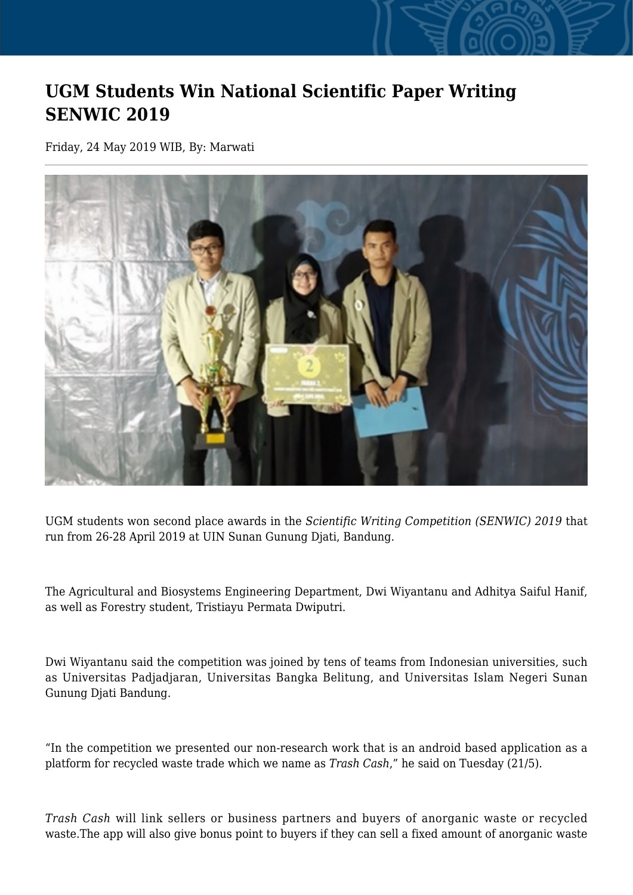## **UGM Students Win National Scientific Paper Writing SENWIC 2019**

Friday, 24 May 2019 WIB, By: Marwati



UGM students won second place awards in the *Scientific Writing Competition (SENWIC) 2019* that run from 26-28 April 2019 at UIN Sunan Gunung Djati, Bandung.

The Agricultural and Biosystems Engineering Department, Dwi Wiyantanu and Adhitya Saiful Hanif, as well as Forestry student, Tristiayu Permata Dwiputri.

Dwi Wiyantanu said the competition was joined by tens of teams from Indonesian universities, such as Universitas Padjadjaran, Universitas Bangka Belitung, and Universitas Islam Negeri Sunan Gunung Djati Bandung.

"In the competition we presented our non-research work that is an android based application as a platform for recycled waste trade which we name as *Trash Cash*," he said on Tuesday (21/5).

*Trash Cash* will link sellers or business partners and buyers of anorganic waste or recycled waste.The app will also give bonus point to buyers if they can sell a fixed amount of anorganic waste